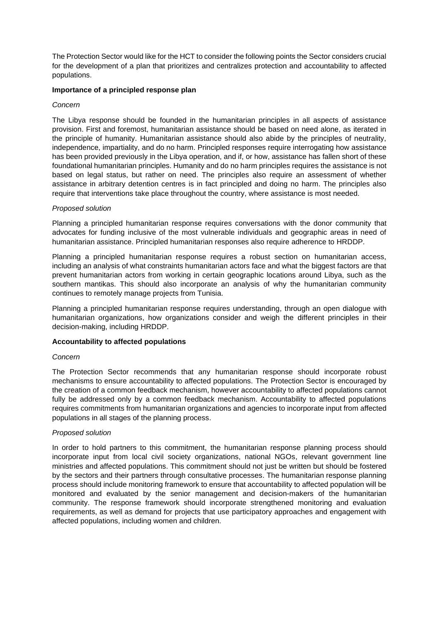The Protection Sector would like for the HCT to consider the following points the Sector considers crucial for the development of a plan that prioritizes and centralizes protection and accountability to affected populations.

## **Importance of a principled response plan**

### *Concern*

The Libya response should be founded in the humanitarian principles in all aspects of assistance provision. First and foremost, humanitarian assistance should be based on need alone, as iterated in the principle of humanity. Humanitarian assistance should also abide by the principles of neutrality, independence, impartiality, and do no harm. Principled responses require interrogating how assistance has been provided previously in the Libya operation, and if, or how, assistance has fallen short of these foundational humanitarian principles. Humanity and do no harm principles requires the assistance is not based on legal status, but rather on need. The principles also require an assessment of whether assistance in arbitrary detention centres is in fact principled and doing no harm. The principles also require that interventions take place throughout the country, where assistance is most needed.

### *Proposed solution*

Planning a principled humanitarian response requires conversations with the donor community that advocates for funding inclusive of the most vulnerable individuals and geographic areas in need of humanitarian assistance. Principled humanitarian responses also require adherence to HRDDP.

Planning a principled humanitarian response requires a robust section on humanitarian access, including an analysis of what constraints humanitarian actors face and what the biggest factors are that prevent humanitarian actors from working in certain geographic locations around Libya, such as the southern mantikas. This should also incorporate an analysis of why the humanitarian community continues to remotely manage projects from Tunisia.

Planning a principled humanitarian response requires understanding, through an open dialogue with humanitarian organizations, how organizations consider and weigh the different principles in their decision-making, including HRDDP.

## **Accountability to affected populations**

#### *Concern*

The Protection Sector recommends that any humanitarian response should incorporate robust mechanisms to ensure accountability to affected populations. The Protection Sector is encouraged by the creation of a common feedback mechanism, however accountability to affected populations cannot fully be addressed only by a common feedback mechanism. Accountability to affected populations requires commitments from humanitarian organizations and agencies to incorporate input from affected populations in all stages of the planning process.

#### *Proposed solution*

In order to hold partners to this commitment, the humanitarian response planning process should incorporate input from local civil society organizations, national NGOs, relevant government line ministries and affected populations. This commitment should not just be written but should be fostered by the sectors and their partners through consultative processes. The humanitarian response planning process should include monitoring framework to ensure that accountability to affected population will be monitored and evaluated by the senior management and decision-makers of the humanitarian community. The response framework should incorporate strengthened monitoring and evaluation requirements, as well as demand for projects that use participatory approaches and engagement with affected populations, including women and children.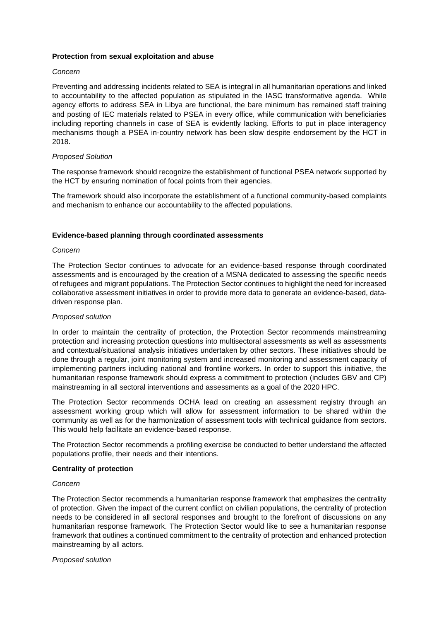### **Protection from sexual exploitation and abuse**

### *Concern*

Preventing and addressing incidents related to SEA is integral in all humanitarian operations and linked to accountability to the affected population as stipulated in the IASC transformative agenda. While agency efforts to address SEA in Libya are functional, the bare minimum has remained staff training and posting of IEC materials related to PSEA in every office, while communication with beneficiaries including reporting channels in case of SEA is evidently lacking. Efforts to put in place interagency mechanisms though a PSEA in-country network has been slow despite endorsement by the HCT in 2018.

### *Proposed Solution*

The response framework should recognize the establishment of functional PSEA network supported by the HCT by ensuring nomination of focal points from their agencies.

The framework should also incorporate the establishment of a functional community-based complaints and mechanism to enhance our accountability to the affected populations.

### **Evidence-based planning through coordinated assessments**

#### *Concern*

The Protection Sector continues to advocate for an evidence-based response through coordinated assessments and is encouraged by the creation of a MSNA dedicated to assessing the specific needs of refugees and migrant populations. The Protection Sector continues to highlight the need for increased collaborative assessment initiatives in order to provide more data to generate an evidence-based, datadriven response plan.

#### *Proposed solution*

In order to maintain the centrality of protection, the Protection Sector recommends mainstreaming protection and increasing protection questions into multisectoral assessments as well as assessments and contextual/situational analysis initiatives undertaken by other sectors. These initiatives should be done through a regular, joint monitoring system and increased monitoring and assessment capacity of implementing partners including national and frontline workers. In order to support this initiative, the humanitarian response framework should express a commitment to protection (includes GBV and CP) mainstreaming in all sectoral interventions and assessments as a goal of the 2020 HPC.

The Protection Sector recommends OCHA lead on creating an assessment registry through an assessment working group which will allow for assessment information to be shared within the community as well as for the harmonization of assessment tools with technical guidance from sectors. This would help facilitate an evidence-based response.

The Protection Sector recommends a profiling exercise be conducted to better understand the affected populations profile, their needs and their intentions.

#### **Centrality of protection**

#### *Concern*

The Protection Sector recommends a humanitarian response framework that emphasizes the centrality of protection. Given the impact of the current conflict on civilian populations, the centrality of protection needs to be considered in all sectoral responses and brought to the forefront of discussions on any humanitarian response framework. The Protection Sector would like to see a humanitarian response framework that outlines a continued commitment to the centrality of protection and enhanced protection mainstreaming by all actors.

#### *Proposed solution*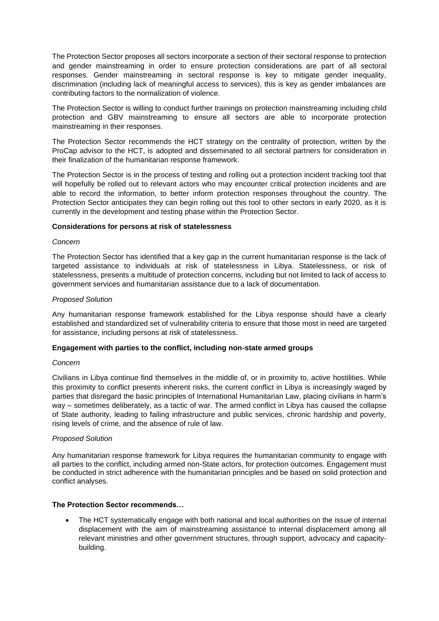The Protection Sector proposes all sectors incorporate a section of their sectoral response to protection and gender mainstreaming in order to ensure protection considerations are part of all sectoral responses. Gender mainstreaming in sectoral response is key to mitigate gender inequality, discrimination (including lack of meaningful access to services), this is key as gender imbalances are contributing factors to the normalization of violence.

The Protection Sector is willing to conduct further trainings on protection mainstreaming including child protection and GBV mainstreaming to ensure all sectors are able to incorporate protection mainstreaming in their responses.

The Protection Sector recommends the HCT strategy on the centrality of protection, written by the ProCap advisor to the HCT, is adopted and disseminated to all sectoral partners for consideration in their finalization of the humanitarian response framework.

The Protection Sector is in the process of testing and rolling out a protection incident tracking tool that will hopefully be rolled out to relevant actors who may encounter critical protection incidents and are able to record the information, to better inform protection responses throughout the country. The Protection Sector anticipates they can begin rolling out this tool to other sectors in early 2020, as it is currently in the development and testing phase within the Protection Sector.

### **Considerations for persons at risk of statelessness**

#### *Concern*

The Protection Sector has identified that a key gap in the current humanitarian response is the lack of targeted assistance to individuals at risk of statelessness in Libya. Statelessness, or risk of statelessness, presents a multitude of protection concerns, including but not limited to lack of access to government services and humanitarian assistance due to a lack of documentation.

### *Proposed Solution*

Any humanitarian response framework established for the Libya response should have a clearly established and standardized set of vulnerability criteria to ensure that those most in need are targeted for assistance, including persons at risk of statelessness.

## **Engagement with parties to the conflict, including non-state armed groups**

#### *Concern*

Civilians in Libya continue find themselves in the middle of, or in proximity to, active hostilities. While this proximity to conflict presents inherent risks, the current conflict in Libya is increasingly waged by parties that disregard the basic principles of International Humanitarian Law, placing civilians in harm's way – sometimes deliberately, as a tactic of war. The armed conflict in Libya has caused the collapse of State authority, leading to failing infrastructure and public services, chronic hardship and poverty, rising levels of crime, and the absence of rule of law.

#### *Proposed Solution*

Any humanitarian response framework for Libya requires the humanitarian community to engage with all parties to the conflict, including armed non-State actors, for protection outcomes. Engagement must be conducted in strict adherence with the humanitarian principles and be based on solid protection and conflict analyses.

# **The Protection Sector recommends…**

• The HCT systematically engage with both national and local authorities on the issue of internal displacement with the aim of mainstreaming assistance to internal displacement among all relevant ministries and other government structures, through support, advocacy and capacitybuilding.